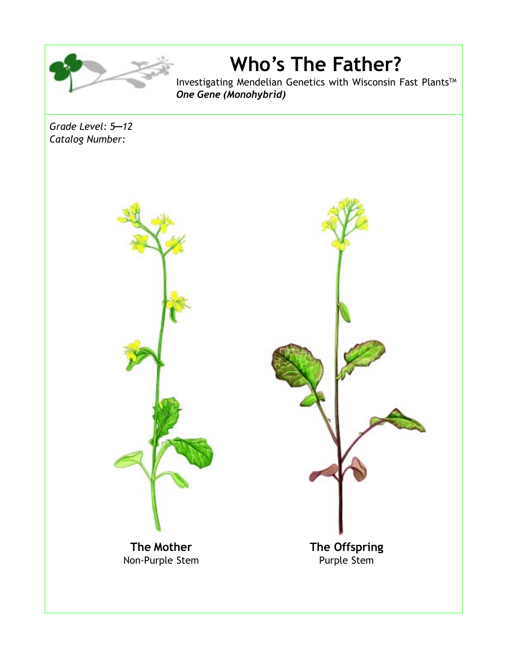

**Who's The Father?**

Investigating Mendelian Genetics with Wisconsin Fast Plants<sup>TM</sup> *One Gene (Monohybrid)*

*Grade Level: 5*—*12 Catalog Number:*



**The Mother** Non-Purple Stem **The Offspring** Purple Stem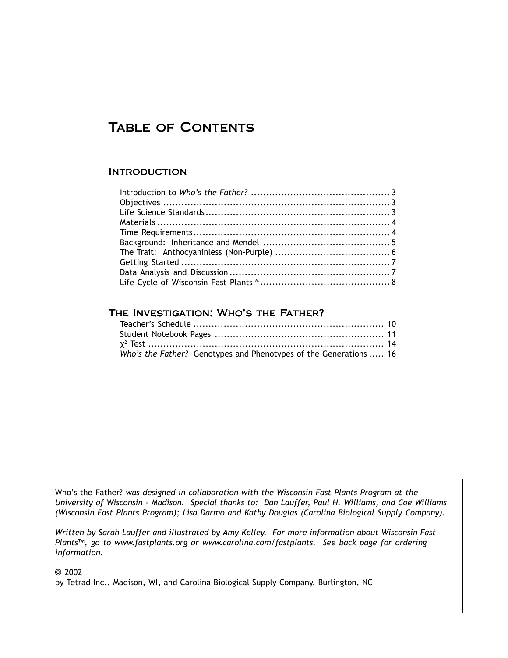# TABLE OF CONTENTS

#### **INTRODUCTION**

#### The Investigation: Who's the Father?

| Who's the Father? Genotypes and Phenotypes of the Generations  16 |  |
|-------------------------------------------------------------------|--|

Who's the Father? *was designed in collaboration with the Wisconsin Fast Plants Program at the University of Wisconsin - Madison. Special thanks to: Dan Lauffer, Paul H. Williams, and Coe Williams (Wisconsin Fast Plants Program); Lisa Darmo and Kathy Douglas (Carolina Biological Supply Company).*

*Written by Sarah Lauffer and illustrated by Amy Kelley. For more information about Wisconsin Fast PlantsTM, go to www.fastplants.org or www.carolina.com/fastplants. See back page for ordering information.*

© 2002

by Tetrad Inc., Madison, WI, and Carolina Biological Supply Company, Burlington, NC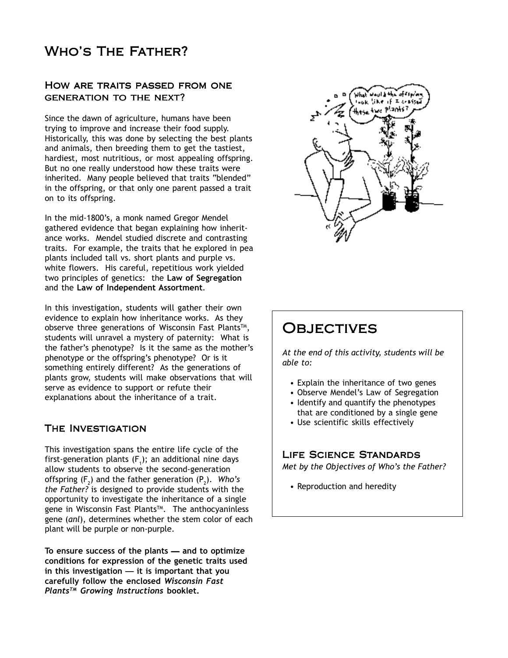# Who's The Father?

#### How are traits passed from one generation to the next?

Since the dawn of agriculture, humans have been trying to improve and increase their food supply. Historically, this was done by selecting the best plants and animals, then breeding them to get the tastiest, hardiest, most nutritious, or most appealing offspring. But no one really understood how these traits were inherited. Many people believed that traits "blended" in the offspring, or that only one parent passed a trait on to its offspring.

In the mid-1800's, a monk named Gregor Mendel gathered evidence that began explaining how inheritance works. Mendel studied discrete and contrasting traits. For example, the traits that he explored in pea plants included tall vs. short plants and purple vs. white flowers. His careful, repetitious work yielded two principles of genetics: the **Law of Segregation** and the **Law of Independent Assortment**.

In this investigation, students will gather their own evidence to explain how inheritance works. As they observe three generations of Wisconsin Fast Plants™, students will unravel a mystery of paternity: What is the father's phenotype? Is it the same as the mother's phenotype or the offspring's phenotype? Or is it something entirely different? As the generations of plants grow, students will make observations that will serve as evidence to support or refute their explanations about the inheritance of a trait.

#### The Investigation

This investigation spans the entire life cycle of the first-generation plants (F<sub>1</sub>); an additional nine days allow students to observe the second-generation offspring (F<sub>2</sub>) and the father generation (P<sub>2</sub>). Who's *the Father?* is designed to provide students with the opportunity to investigate the inheritance of a single gene in Wisconsin Fast Plants™. The anthocyaninless gene (*anl*), determines whether the stem color of each plant will be purple or non-purple.

**To ensure success of the plants** — **and to optimize conditions for expression of the genetic traits used in this investigation** — **it is important that you carefully follow the enclosed** *Wisconsin Fast PlantsTM Growing Instructions* **booklet.**



# **OBJECTIVES**

*At the end of this activity, students will be able to:*

- Explain the inheritance of two genes
- Observe Mendel's Law of Segregation • Identify and quantify the phenotypes
- that are conditioned by a single gene • Use scientific skills effectively

Life Science Standards

*Met by the Objectives of Who's the Father?*

• Reproduction and heredity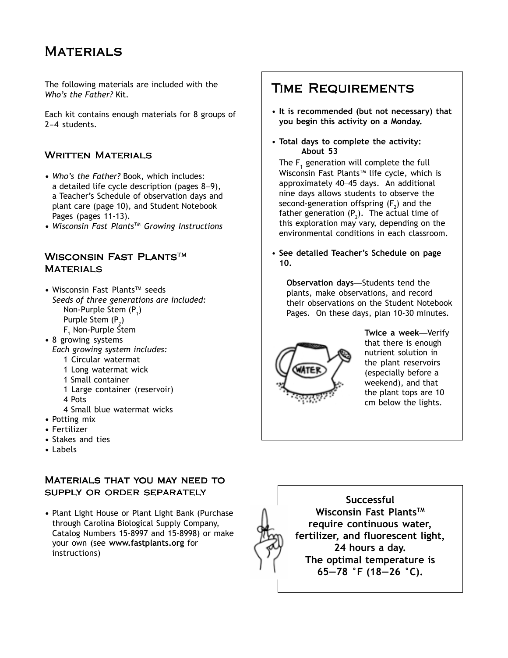# **MATERIALS**

The following materials are included with the *Who's the Father?* Kit.

Each kit contains enough materials for 8 groups of 2–4 students.

#### **WRITTEN MATERIALS**

- **•** *Who's the Father?* Book, which includes: a detailed life cycle description (pages 8–9), a Teacher's Schedule of observation days and plant care (page 10), and Student Notebook Pages (pages 11-13).
- **•** *Wisconsin Fast PlantsTM Growing Instructions*

### WISCONSIN FAST PLANTS™ **MATERIALS**

- Wisconsin Fast Plants<sup>TM</sup> seeds *Seeds of three generations are included:* Non-Purple Stem (P<sub>1</sub>) Purple Stem  $(P_2)$
- F<sub>1</sub> Non-Purple Stem **•** 8 growing systems
- *Each growing system includes:*
	- 1 Circular watermat
	- 1 Long watermat wick
	- 1 Small container
	- 1 Large container (reservoir)
	- 4 Pots
	- 4 Small blue watermat wicks
- **•** Potting mix
- **•** Fertilizer
- **•** Stakes and ties
- **•** Labels

#### Materials that you may need to supply or order separately

**•** Plant Light House or Plant Light Bank (Purchase through Carolina Biological Supply Company, Catalog Numbers 15-8997 and 15-8998) or make your own (see **www.fastplants.org** for instructions)

### Time Requirements

- **It is recommended (but not necessary) that you begin this activity on a Monday.**
- **Total days to complete the activity: About 53**

The  $\mathsf F_1$  generation will complete the full Wisconsin Fast Plants™ life cycle, which is approximately 40–45 days. An additional nine days allows students to observe the second-generation offspring (F<sub>2</sub>) and the father generation (P<sub>2</sub>). The actual time of this exploration may vary, depending on the environmental conditions in each classroom.

• **See detailed Teacher's Schedule on page 10.**

**Observation days**—Students tend the plants, make observations, and record their observations on the Student Notebook Pages. On these days, plan 10-30 minutes*.*



**Twice a week**—Verify that there is enough nutrient solution in the plant reservoirs (especially before a weekend), and that the plant tops are 10 cm below the lights.

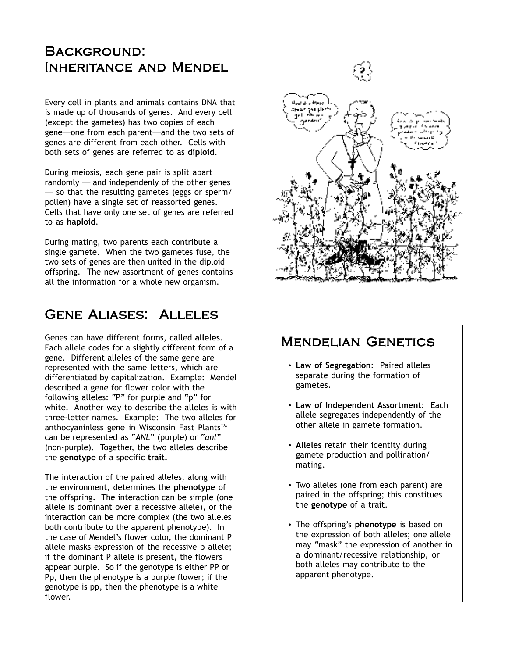# Background: Inheritance and Mendel

Every cell in plants and animals contains DNA that is made up of thousands of genes. And every cell (except the gametes) has two copies of each gene—one from each parent—and the two sets of genes are different from each other. Cells with both sets of genes are referred to as **diploid**.

During meiosis, each gene pair is split apart randomly — and independenly of the other genes — so that the resulting gametes (eggs or sperm/ pollen) have a single set of reassorted genes. Cells that have only one set of genes are referred to as **haploid**.

During mating, two parents each contribute a single gamete. When the two gametes fuse, the two sets of genes are then united in the diploid offspring. The new assortment of genes contains all the information for a whole new organism.

# Gene Aliases: Alleles

Genes can have different forms, called **alleles**. Each allele codes for a slightly different form of a gene. Different alleles of the same gene are represented with the same letters, which are differentiated by capitalization. Example: Mendel described a gene for flower color with the following alleles: "P" for purple and "p" for white. Another way to describe the alleles is with three-letter names. Example: The two alleles for anthocyaninless gene in Wisconsin Fast Plants™ can be represented as "*ANL*" (purple) or "*anl*" (non-purple). Together, the two alleles describe the **genotype** of a specific **trait.**

The interaction of the paired alleles, along with the environment, determines the **phenotype** of the offspring. The interaction can be simple (one allele is dominant over a recessive allele), or the interaction can be more complex (the two alleles both contribute to the apparent phenotype). In the case of Mendel's flower color, the dominant P allele masks expression of the recessive p allele; if the dominant P allele is present, the flowers appear purple. So if the genotype is either PP or Pp, then the phenotype is a purple flower; if the genotype is pp, then the phenotype is a white flower.



### Mendelian Genetics

- **Law of Segregation**: Paired alleles separate during the formation of gametes.
- **Law of Independent Assortment**: Each allele segregates independently of the other allele in gamete formation.
- **Alleles** retain their identity during gamete production and pollination/ mating.
- Two alleles (one from each parent) are paired in the offspring; this constitues the **genotype** of a trait.
- The offspring's **phenotype** is based on the expression of both alleles; one allele may "mask" the expression of another in a dominant/recessive relationship, or both alleles may contribute to the apparent phenotype.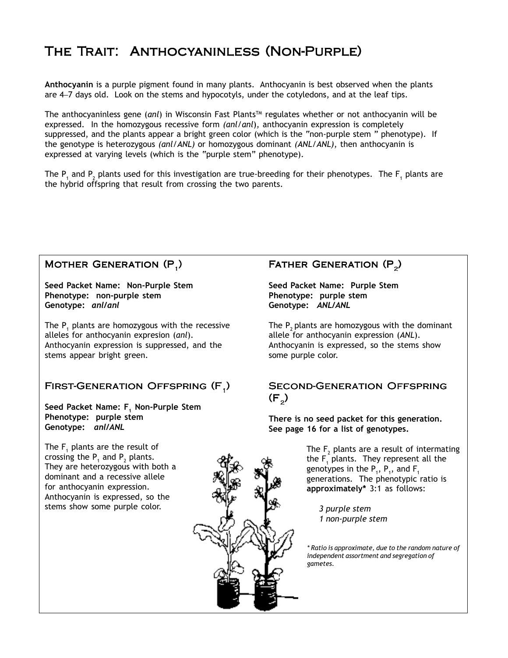# The Trait: Anthocyaninless (Non-Purple)

**Anthocyanin** is a purple pigment found in many plants. Anthocyanin is best observed when the plants are 4–7 days old. Look on the stems and hypocotyls, under the cotyledons, and at the leaf tips.

The anthocyaninless gene (*anl*) in Wisconsin Fast Plants™ regulates whether or not anthocyanin will be expressed. In the homozygous recessive form *(anl/anl*), anthocyanin expression is completely suppressed, and the plants appear a bright green color (which is the "non-purple stem " phenotype). If the genotype is heterozygous *(anl/ANL)* or homozygous dominant *(ANL/ANL)*, then anthocyanin is expressed at varying levels (which is the "purple stem" phenotype).

The P<sub>1</sub> and P<sub>2</sub> plants used for this investigation are true-breeding for their phenotypes. The F<sub>1</sub> plants are the hybrid offspring that result from crossing the two parents.

#### MOTHER GENERATION (P<sub>1</sub>)

**Seed Packet Name: Non-Purple Stem Phenotype: non-purple stem Genotype:** *anl/anl*

The  $P_1$  plants are homozygous with the recessive alleles for anthocyanin expresion (*anl*). Anthocyanin expression is suppressed, and the stems appear bright green.

### FIRST-GENERATION OFFSPRING (F<sub>1</sub>)

Seed Packet Name: F<sub>1</sub> Non-Purple Stem **Phenotype: purple stem Genotype:** *anl/ANL*

The  $\mathsf{F}_{_{1}}$  plants are the result of crossing the  $P_1$  and  $P_2$  plants. They are heterozygous with both a dominant and a recessive allele for anthocyanin expression. Anthocyanin is expressed, so the stems show some purple color.

### FATHER GENERATION (P<sub>2</sub>)

**Seed Packet Name: Purple Stem Phenotype: purple stem Genotype:** *ANL/ANL*

The  $P$ <sub>2</sub> plants are homozygous with the dominant allele for anthocyanin expression (*ANL*). Anthocyanin is expressed, so the stems show some purple color.

#### Second-Generation Offspring  $(F_2)$

**There is no seed packet for this generation. See page 16 for a list of genotypes.**

> The  $\mathsf F_2$  plants are a result of intermating the  $\mathsf{F}^{}_{_1}$  plants. They represent all the genotypes in the  $P_1$ ,  $P_1$ , and  $F_1$ generations. The phenotypic ratio is **approximately\*** 3:1 as follows:

*3 purple stem 1 non-purple stem*

*\* Ratio is approximate, due to the random nature of independent assortment and segregation of gametes.*

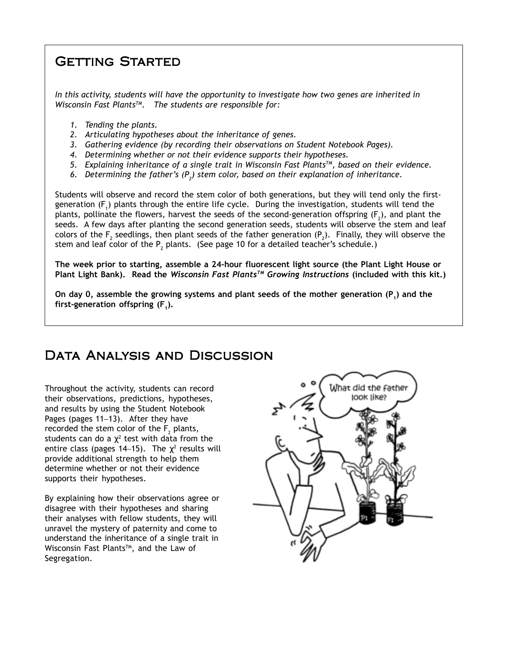# Getting Started

*In this activity, students will have the opportunity to investigate how two genes are inherited in Wisconsin Fast PlantsTM. The students are responsible for:*

- *1. Tending the plants.*
- *2. Articulating hypotheses about the inheritance of genes.*
- *3. Gathering evidence (by recording their observations on Student Notebook Pages).*
- *4. Determining whether or not their evidence supports their hypotheses.*
- *5. Explaining inheritance of a single trait in Wisconsin Fast PlantsTM, based on their evidence.*
- 6. Determining the father's (P<sub>2</sub>) stem color, based on their explanation of inheritance.

Students will observe and record the stem color of both generations, but they will tend only the firstgeneration (F<sub>1</sub>) plants through the entire life cycle. During the investigation, students will tend the plants, pollinate the flowers, harvest the seeds of the second-generation offspring (F<sub>2</sub>), and plant the seeds. A few days after planting the second generation seeds, students will observe the stem and leaf colors of the  $\mathsf F_2$  seedlings, then plant seeds of the father generation (P<sub>2</sub>). Finally, they will observe the stem and leaf color of the  $\mathsf{P}_2$  plants. (See page 10 for a detailed teacher's schedule.)

**The week prior to starting, assemble a 24-hour fluorescent light source (the Plant Light House or Plant Light Bank). Read the** *Wisconsin Fast PlantsTM Growing Instructions* **(included with this kit.)**

On day 0, assemble the growing systems and plant seeds of the mother generation (P<sub>1</sub>) and the first-generation offspring  $(F_1)$ .

# DATA ANALYSIS AND DISCUSSION

Throughout the activity, students can record their observations, predictions, hypotheses, and results by using the Student Notebook Pages (pages 11–13). After they have recorded the stem color of the  $F_{2}$  plants, students can do a  $\chi^2$  test with data from the entire class (pages 14–15). The  $\chi^2$  results will provide additional strength to help them determine whether or not their evidence supports their hypotheses.

By explaining how their observations agree or disagree with their hypotheses and sharing their analyses with fellow students, they will unravel the mystery of paternity and come to understand the inheritance of a single trait in Wisconsin Fast Plants™, and the Law of Segregation.

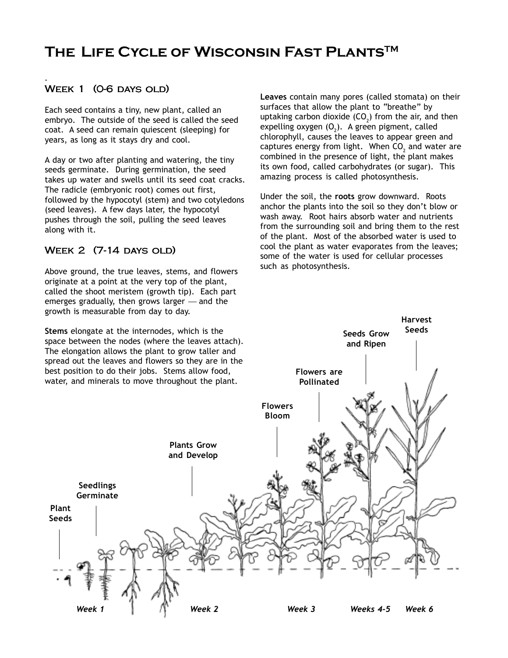# **The Life Cycle of Wisconsin Fast PlantsTM**

#### WEEK 1 (0-6 DAYS OLD)

*.*

Each seed contains a tiny, new plant, called an embryo. The outside of the seed is called the seed coat. A seed can remain quiescent (sleeping) for years, as long as it stays dry and cool.

A day or two after planting and watering, the tiny seeds germinate. During germination, the seed takes up water and swells until its seed coat cracks. The radicle (embryonic root) comes out first, followed by the hypocotyl (stem) and two cotyledons (seed leaves). A few days later, the hypocotyl pushes through the soil, pulling the seed leaves along with it.

#### WEEK 2 (7-14 DAYS OLD)

Above ground, the true leaves, stems, and flowers originate at a point at the very top of the plant, called the shoot meristem (growth tip). Each part emerges gradually, then grows larger — and the growth is measurable from day to day.

**Stems** elongate at the internodes, which is the space between the nodes (where the leaves attach). The elongation allows the plant to grow taller and spread out the leaves and flowers so they are in the best position to do their jobs. Stems allow food, water, and minerals to move throughout the plant.

**Leaves** contain many pores (called stomata) on their surfaces that allow the plant to "breathe" by uptaking carbon dioxide (CO<sub>2</sub>) from the air, and then expelling oxygen  $(0_2)$ . A green pigment, called chlorophyll, causes the leaves to appear green and captures energy from light. When  $\mathsf{CO}_2^{}$  and water are combined in the presence of light, the plant makes its own food, called carbohydrates (or sugar). This amazing process is called photosynthesis.

Under the soil, the **roots** grow downward. Roots anchor the plants into the soil so they don't blow or wash away. Root hairs absorb water and nutrients from the surrounding soil and bring them to the rest of the plant. Most of the absorbed water is used to cool the plant as water evaporates from the leaves; some of the water is used for cellular processes such as photosynthesis.

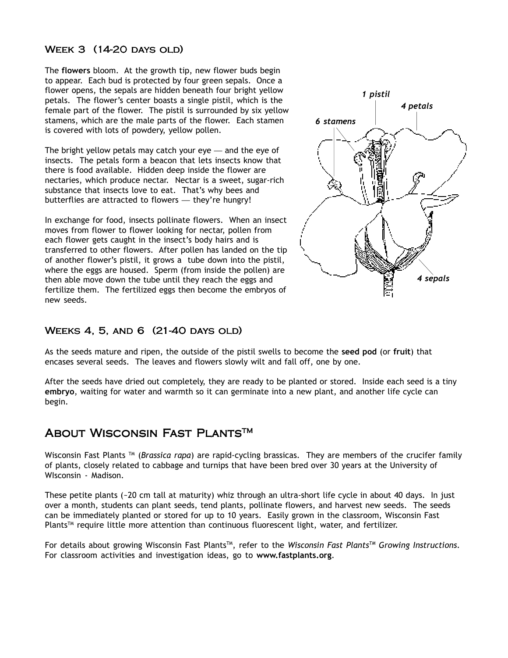#### WEEK 3 (14-20 DAYS OLD)

The **flowers** bloom. At the growth tip, new flower buds begin to appear. Each bud is protected by four green sepals. Once a flower opens, the sepals are hidden beneath four bright yellow petals. The flower's center boasts a single pistil, which is the female part of the flower. The pistil is surrounded by six yellow stamens, which are the male parts of the flower. Each stamen is covered with lots of powdery, yellow pollen.

The bright yellow petals may catch your eye — and the eye of insects. The petals form a beacon that lets insects know that there is food available. Hidden deep inside the flower are nectaries, which produce nectar. Nectar is a sweet, sugar-rich substance that insects love to eat. That's why bees and butterflies are attracted to flowers — they're hungry!

In exchange for food, insects pollinate flowers. When an insect moves from flower to flower looking for nectar, pollen from each flower gets caught in the insect's body hairs and is transferred to other flowers. After pollen has landed on the tip of another flower's pistil, it grows a tube down into the pistil, where the eggs are housed. Sperm (from inside the pollen) are then able move down the tube until they reach the eggs and fertilize them. The fertilized eggs then become the embryos of new seeds.



#### WEEKS 4, 5, AND 6 (21-40 DAYS OLD)

As the seeds mature and ripen, the outside of the pistil swells to become the **seed pod** (or **fruit**) that encases several seeds. The leaves and flowers slowly wilt and fall off, one by one.

After the seeds have dried out completely, they are ready to be planted or stored. Inside each seed is a tiny **embryo**, waiting for water and warmth so it can germinate into a new plant, and another life cycle can begin.

### About Wisconsin Fast Plants<sup>™</sup>

Wisconsin Fast Plants TM (*Brassica rapa*) are rapid-cycling brassicas. They are members of the crucifer family of plants, closely related to cabbage and turnips that have been bred over 30 years at the University of WIsconsin - Madison.

These petite plants (~20 cm tall at maturity) whiz through an ultra-short life cycle in about 40 days. In just over a month, students can plant seeds, tend plants, pollinate flowers, and harvest new seeds. The seeds can be immediately planted or stored for up to 10 years. Easily grown in the classroom, Wisconsin Fast Plants™ require little more attention than continuous fluorescent light, water, and fertilizer.

For details about growing Wisconsin Fast PlantsTM, refer to the *Wisconsin Fast PlantsTM Growing Instructions*. For classroom activities and investigation ideas, go to **www.fastplants.org**.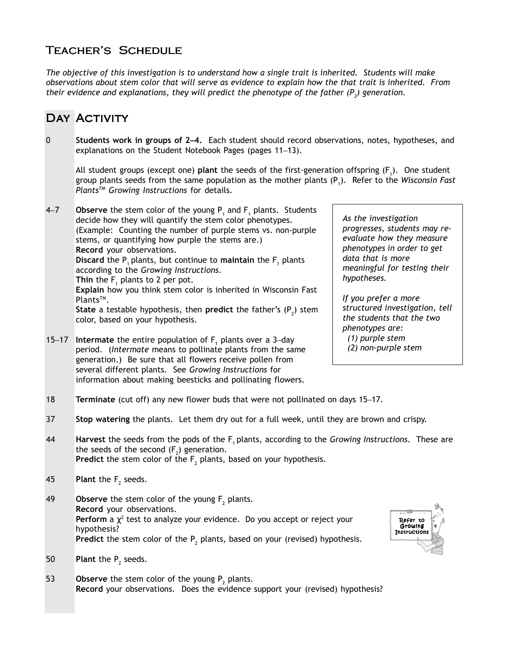### Teacher's Schedule

*The objective of this investigation is to understand how a single trait is inherited. Students will make observations about stem color that will serve as evidence to explain how the that trait is inherited. From* their evidence and explanations, they will predict the phenotype of the father  $(P_2)$  generation.

# DAY ACTIVITY

0 **Students work in groups of 2**–**4.** Each student should record observations, notes, hypotheses, and explanations on the Student Notebook Pages (pages 11–13).

All student groups (except one) **plant** the seeds of the first-generation offspring (F<sub>1</sub>). One student group plants seeds from the same population as the mother plants (P1 ). Refer to the *Wisconsin Fast PlantsTM Growing Instructions* for details.

- 4–7 **Observe** the stem color of the young P<sub>1</sub> and F<sub>1</sub> plants. Students decide how they will quantify the stem color phenotypes. (Example: Counting the number of purple stems vs. non-purple stems, or quantifying how purple the stems are.) **Record** your observations. **Discard** the P<sub>1</sub> plants, but continue to **maintain** the F<sub>1</sub> plants according to the *Growing Instructions*. **Thin** the  $F_1$  plants to 2 per pot. **Explain** how you think stem color is inherited in Wisconsin Fast Plants<sup>™</sup>. **State** a testable hypothesis, then **predict** the father's (P<sub>2</sub>) stem color, based on your hypothesis.
- 15–17 **Intermate** the entire population of F<sub>1</sub> plants over a 3–day period. (*Intermate* means to pollinate plants from the same generation.) Be sure that all flowers receive pollen from several different plants. See *Growing Instructions* for information about making beesticks and pollinating flowers.

*As the investigation progresses, students may reevaluate how they measure phenotypes in order to get data that is more meaningful for testing their hypotheses.*

*If you prefer a more structured investigation, tell the students that the two phenotypes are: (1) purple stem (2) non-purple stem*

- 18 **Terminate** (cut off) any new flower buds that were not pollinated on days 15–17.
- 37 **Stop watering** the plants. Let them dry out for a full week, until they are brown and crispy.
- 44 **Harvest** the seeds from the pods of the F1 plants, according to the *Growing Instructions*. These are the seeds of the second  $(F_2)$  generation. **Predict** the stem color of the  $F_2$  plants, based on your hypothesis.
- 45 **Plant** the  $F_2$  seeds.
- **49** Observe the stem color of the young  $F_2$  plants. **Record** your observations. **Perform** a  $\chi^2$  test to analyze your evidence. Do you accept or reject your hypothesis? **Predict** the stem color of the  $P_2$  plants, based on your (revised) hypothesis.
- 50 **Plant** the  $P_2$  seeds.
- 53 **Observe** the stem color of the young  $P_2$  plants. **Record** your observations. Does the evidence support your (revised) hypothesis?

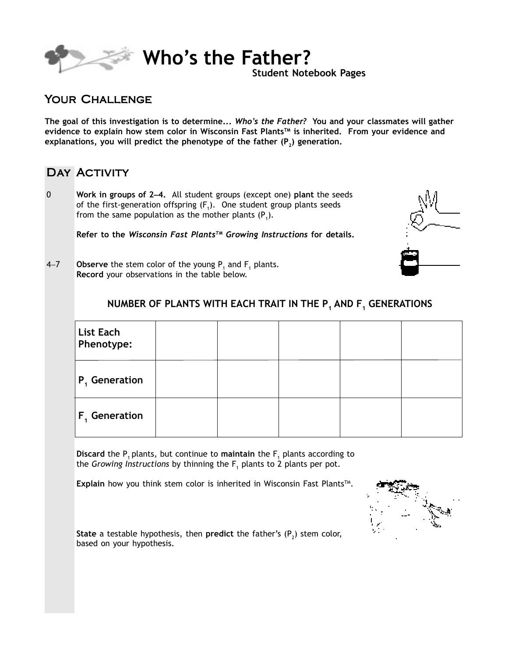

**Who's the Father?**

**Student Notebook Pages**

### Your Challenge

**The goal of this investigation is to determine...** *Who's the Father?* **You and your classmates will gather** evidence to explain how stem color in Wisconsin Fast Plants<sup>™</sup> is inherited. From your evidence and explanations, you will predict the phenotype of the father (P<sub>2</sub>) generation.

### DAY ACTIVITY

0 **Work in groups of 2**–**4.** All student groups (except one) **plant** the seeds of the first-generation offspring  $(F_1)$ . One student group plants seeds from the same population as the mother plants  $(P_1)$ .

**Refer to the** *Wisconsin Fast PlantsTM Growing Instructions* **for details.**



4–7 **Observe** the stem color of the young  $P_1$  and  $F_1$  plants. **Record** your observations in the table below.

### **NUMBER OF PLANTS WITH EACH TRAIT IN THE P<sub>1</sub> AND F<sub>1</sub> GENERATIONS**

| List Each<br>Phenotype:   |  |  |  |
|---------------------------|--|--|--|
| $ P_{1}$ Generation       |  |  |  |
| $\mathsf{F}_1$ Generation |  |  |  |

**Discard** the P<sub>1</sub> plants, but continue to **maintain** the F<sub>1</sub> plants according to the *Growing Instructions* by thinning the F<sub>1</sub> plants to 2 plants per pot.

**Explain** how you think stem color is inherited in Wisconsin Fast Plants™.



**State** a testable hypothesis, then **predict** the father's (P<sub>2</sub>) stem color, based on your hypothesis.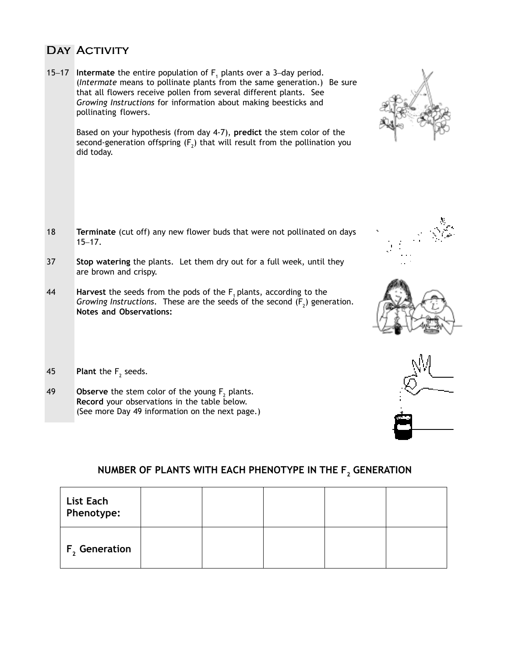### DAY ACTIVITY

15–17 **Intermate** the entire population of  $F_1$  plants over a 3–day period. (*Intermate* means to pollinate plants from the same generation.) Be sure that all flowers receive pollen from several different plants. See *Growing Instructions* for information about making beesticks and pollinating flowers.

Based on your hypothesis (from day 4-7), **predict** the stem color of the second-generation offspring (F<sub>2</sub>) that will result from the pollination you did today.

- 18 **Terminate** (cut off) any new flower buds that were not pollinated on days 15–17.
- 37 **Stop watering** the plants. Let them dry out for a full week, until they are brown and crispy.
- 44 **Harvest** the seeds from the pods of the F<sub>1</sub> plants, according to the *Growing Instructions.* These are the seeds of the second  $(F<sub>2</sub>)$  generation. **Notes and Observations:**
- 45 **Plant** the  $F_2$  seeds.
- **49** Observe the stem color of the young  $F_2$  plants. **Record** your observations in the table below. (See more Day 49 information on the next page.)

### **NUMBER OF PLANTS WITH EACH PHENOTYPE IN THE F<sub>2</sub> GENERATION**

| List Each<br>Phenotype:   |  |  |  |
|---------------------------|--|--|--|
| F <sub>2</sub> Generation |  |  |  |





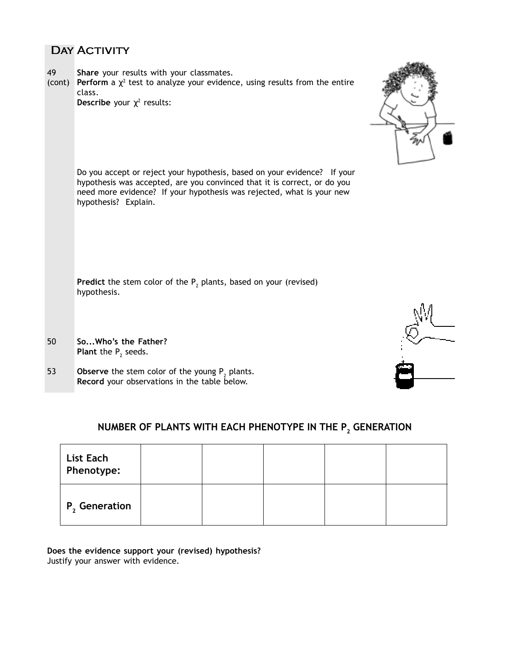### DAY ACTIVITY

- 49 **Share** your results with your classmates.
- (cont) **Perform** a  $\chi^2$  test to analyze your evidence, using results from the entire class.

**Describe** your  $\chi^2$  results:



Do you accept or reject your hypothesis, based on your evidence? If your hypothesis was accepted, are you convinced that it is correct, or do you need more evidence? If your hypothesis was rejected, what is your new hypothesis? Explain.

**Predict** the stem color of the P<sub>2</sub> plants, based on your (revised) hypothesis.

- 50 **So...Who's the Father? Plant** the  $P_2$  seeds.
- 53 **Observe** the stem color of the young  $P_2$  plants. **Record** your observations in the table below.



### NUMBER OF PLANTS WITH EACH PHENOTYPE IN THE P<sub>2</sub> GENERATION

| List Each<br>Phenotype:   |  |  |  |
|---------------------------|--|--|--|
| P <sub>2</sub> Generation |  |  |  |

**Does the evidence support your (revised) hypothesis?** Justify your answer with evidence.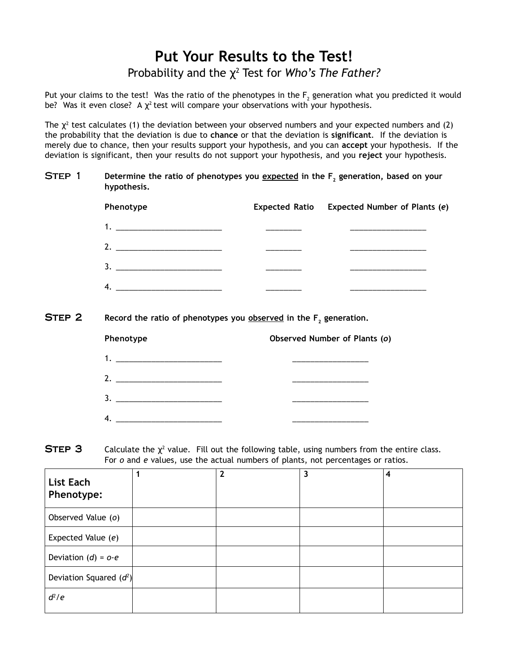# **Put Your Results to the Test!** Probability and the  $\chi^2$  Test for *Who's The Father?*

Put your claims to the test! Was the ratio of the phenotypes in the  $\mathsf F_2$  generation what you predicted it would be? Was it even close? A  $\chi^2$  test will compare your observations with your hypothesis.

The  $\chi^2$  test calculates (1) the deviation between your observed numbers and your expected numbers and (2) the probability that the deviation is due to **chance** or that the deviation is **significant**. If the deviation is merely due to chance, then your results support your hypothesis, and you can **accept** your hypothesis. If the deviation is significant, then your results do not support your hypothesis, and you **reject** your hypothesis.

#### **STEP 1** Determine the ratio of phenotypes you expected in the F<sub>2</sub> generation, based on your **hypothesis.**

| Phenotype                | Expected Ratio Expected Number of Plants (e) |
|--------------------------|----------------------------------------------|
|                          |                                              |
|                          |                                              |
| $\overline{\mathbf{3.}}$ |                                              |
|                          |                                              |

STEP 2 Record the ratio of phenotypes you **observed** in the F<sub>2</sub> generation.

| Phenotype                   | Observed Number of Plants (o) |
|-----------------------------|-------------------------------|
|                             |                               |
|                             |                               |
|                             |                               |
| 4. $\overline{\phantom{a}}$ |                               |

**STEP 3** Calculate the  $\chi^2$  value. Fill out the following table, using numbers from the entire class. For *o* and *e* values, use the actual numbers of plants, not percentages or ratios.

| <b>List Each</b><br>Phenotype: | $\mathbf{2}$ | 3 | 4 |
|--------------------------------|--------------|---|---|
| Observed Value (o)             |              |   |   |
| Expected Value (e)             |              |   |   |
| Deviation $(d) = 0-e$          |              |   |   |
| Deviation Squared $(d^2)$      |              |   |   |
| $d^2/e$                        |              |   |   |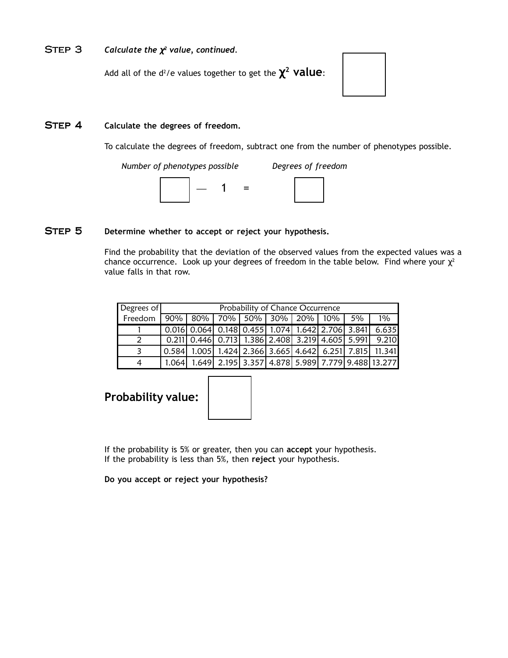#### Step 3 *Calculate the* χ*2 value, continued.*

Add all of the d2 /e values together to get the χ**2 value**:

#### STEP 4 Calculate the degrees of freedom.

To calculate the degrees of freedom, subtract one from the number of phenotypes possible.

| Number of phenotypes possible | Degrees of freedom |
|-------------------------------|--------------------|
|                               |                    |

#### STEP 5 Determine whether to accept or reject your hypothesis.

Find the probability that the deviation of the observed values from the expected values was a chance occurrence. Look up your degrees of freedom in the table below. Find where your  $\chi^2$ value falls in that row.

| Degrees of |       | Probability of Chance Occurrence |  |  |  |  |  |    |                                                                                                                      |
|------------|-------|----------------------------------|--|--|--|--|--|----|----------------------------------------------------------------------------------------------------------------------|
| Freedom    |       | $90\%$ 80% 70% 50% 30% 20% 10%   |  |  |  |  |  | 5% | $1\%$                                                                                                                |
|            |       |                                  |  |  |  |  |  |    | $\mid$ 0.016 0.064 0.148 0.455 1.074 1.642 2.706 3.841 6.635                                                         |
| 2          |       |                                  |  |  |  |  |  |    | $0.211$ 0.446 0.713 1.386 2.408 3.219 4.605 5.991 9.210                                                              |
|            |       |                                  |  |  |  |  |  |    | $\vert 0.584 \vert 1.005 \vert 1.424 \vert 2.366 \vert 3.665 \vert 4.642 \vert 6.251 \vert 7.815 \vert 11.341 \vert$ |
| 4          | 1.064 |                                  |  |  |  |  |  |    | 1.649 2.195 3.357 4.878 5.989 7.779 9.488 13.277                                                                     |

### **Probability value:**

If the probability is 5% or greater, then you can **accept** your hypothesis. If the probability is less than 5%, then **reject** your hypothesis.

**Do you accept or reject your hypothesis?**